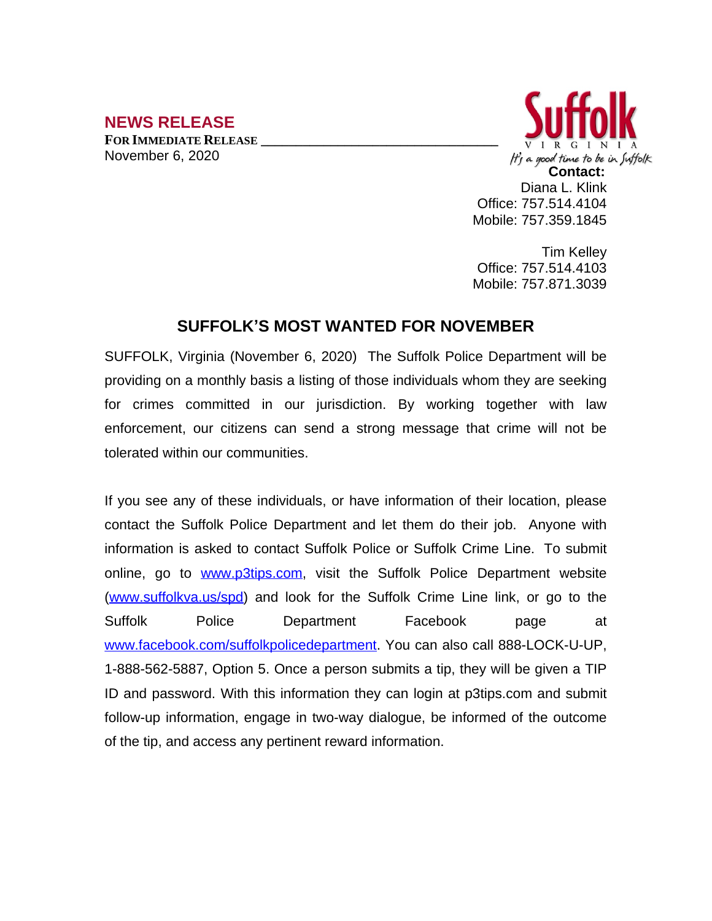## **NEWS RELEASE**

**FOR IMMEDIATE RELEASE \_\_\_\_\_\_\_\_\_\_\_\_\_\_\_\_\_\_\_\_\_\_\_\_\_\_\_\_\_\_\_\_\_\_** November 6, 2020



Tim Kelley Office: 757.514.4103 Mobile: 757.871.3039

## **SUFFOLK'S MOST WANTED FOR NOVEMBER**

SUFFOLK, Virginia (November 6, 2020) The Suffolk Police Department will be providing on a monthly basis a listing of those individuals whom they are seeking for crimes committed in our jurisdiction. By working together with law enforcement, our citizens can send a strong message that crime will not be tolerated within our communities.

If you see any of these individuals, or have information of their location, please contact the Suffolk Police Department and let them do their job. Anyone with information is asked to contact Suffolk Police or Suffolk Crime Line. To submit online, go to [www.p3tips.com](http://www.p3tips.com), visit the Suffolk Police Department website ([www.suffolkva.us/spd](http://www.suffolkva.us/spd)) and look for the Suffolk Crime Line link, or go to the Suffolk Police Department Facebook page at [www.facebook.com/suffolkpolicedepartment](http://www.facebook.com/suffolkpolicedepartment). You can also call 888-LOCK-U-UP, 1-888-562-5887, Option 5. Once a person submits a tip, they will be given a TIP ID and password. With this information they can login at p3tips.com and submit follow-up information, engage in two-way dialogue, be informed of the outcome of the tip, and access any pertinent reward information.